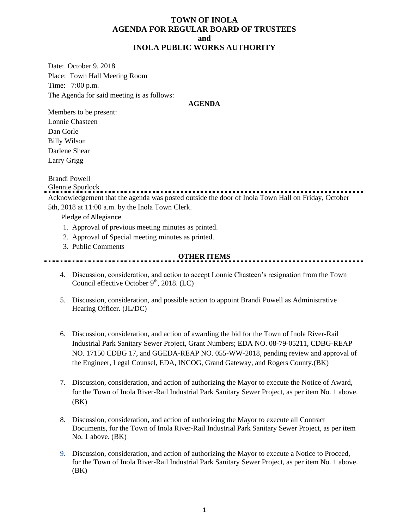#### **TOWN OF INOLA AGENDA FOR REGULAR BOARD OF TRUSTEES and INOLA PUBLIC WORKS AUTHORITY**

Date: October 9, 2018 Place: Town Hall Meeting Room Time: 7:00 p.m. The Agenda for said meeting is as follows:

#### **AGENDA**

Members to be present: Lonnie Chasteen Dan Corle Billy Wilson Darlene Shear Larry Grigg

#### Brandi Powell

Glennie Spurlock Acknowledgement that the agenda was posted outside the door of Inola Town Hall on Friday, October 5th, 2018 at 11:00 a.m. by the Inola Town Clerk.

Pledge of Allegiance

- 1. Approval of previous meeting minutes as printed.
- 2. Approval of Special meeting minutes as printed.
- 3. Public Comments

#### **OTHER ITEMS**

- 4. Discussion, consideration, and action to accept Lonnie Chasteen's resignation from the Town Council effective October  $9<sup>th</sup>$ , 2018. (LC)
- 5. Discussion, consideration, and possible action to appoint Brandi Powell as Administrative Hearing Officer. (JL/DC)
- 6. Discussion, consideration, and action of awarding the bid for the Town of Inola River-Rail Industrial Park Sanitary Sewer Project, Grant Numbers; EDA NO. 08-79-05211, CDBG-REAP NO. 17150 CDBG 17, and GGEDA-REAP NO. 055-WW-2018, pending review and approval of the Engineer, Legal Counsel, EDA, INCOG, Grand Gateway, and Rogers County.(BK)
- 7. Discussion, consideration, and action of authorizing the Mayor to execute the Notice of Award, for the Town of Inola River-Rail Industrial Park Sanitary Sewer Project, as per item No. 1 above. (BK)
- 8. Discussion, consideration, and action of authorizing the Mayor to execute all Contract Documents, for the Town of Inola River-Rail Industrial Park Sanitary Sewer Project, as per item No. 1 above. (BK)
- 9. Discussion, consideration, and action of authorizing the Mayor to execute a Notice to Proceed, for the Town of Inola River-Rail Industrial Park Sanitary Sewer Project, as per item No. 1 above. (BK)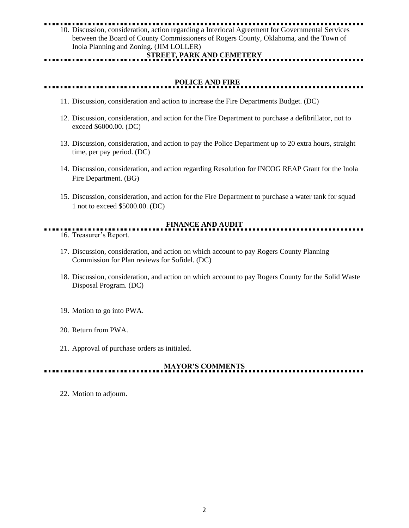# 10. Discussion, consideration, action regarding a Interlocal Agreement for Governmental Services

between the Board of County Commissioners of Rogers County, Oklahoma, and the Town of Inola Planning and Zoning. (JIM LOLLER)

#### **STREET, PARK AND CEMETERY**

### **POLICE AND FIRE**

- 11. Discussion, consideration and action to increase the Fire Departments Budget. (DC)
- 12. Discussion, consideration, and action for the Fire Department to purchase a defibrillator, not to exceed \$6000.00. (DC)
- 13. Discussion, consideration, and action to pay the Police Department up to 20 extra hours, straight time, per pay period. (DC)
- 14. Discussion, consideration, and action regarding Resolution for INCOG REAP Grant for the Inola Fire Department. (BG)
- 15. Discussion, consideration, and action for the Fire Department to purchase a water tank for squad 1 not to exceed \$5000.00. (DC)

## **FINANCE AND AUDIT**

- 16. Treasurer's Report.
- 17. Discussion, consideration, and action on which account to pay Rogers County Planning Commission for Plan reviews for Sofidel. (DC)
- 18. Discussion, consideration, and action on which account to pay Rogers County for the Solid Waste Disposal Program. (DC)
- 19. Motion to go into PWA.
- 20. Return from PWA.
- 21. Approval of purchase orders as initialed.

# **MAYOR'S COMMENTS**

22. Motion to adjourn.